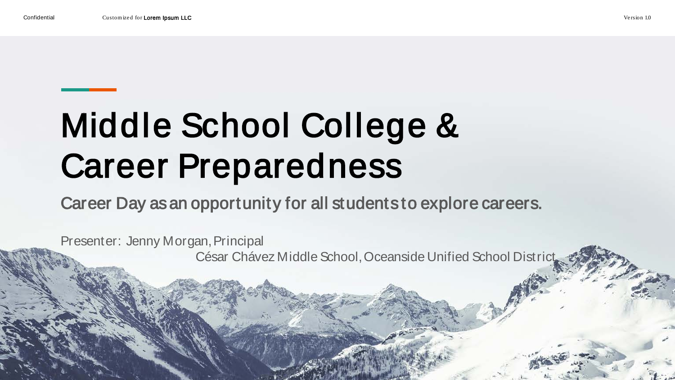# Middle School College & Career Preparedness

Career Day as an opportunity for all students to explore careers.

Presenter: Jenny Morgan, Principal César Chávez Middle School, Oceanside Unified School District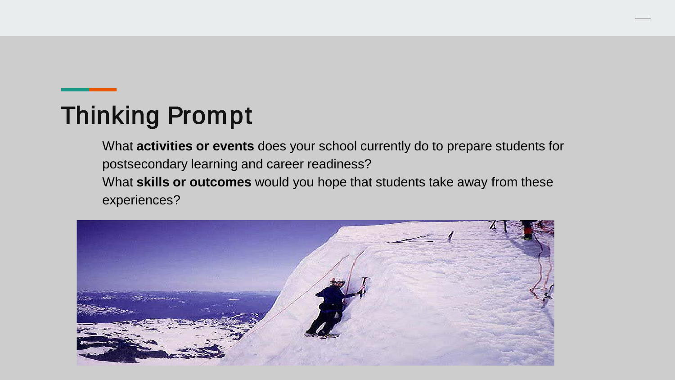#### Thinking Prompt

What **activities or events** does your school currently do to prepare students for postsecondary learning and career readiness? What **skills or outcomes** would you hope that students take away from these experiences?

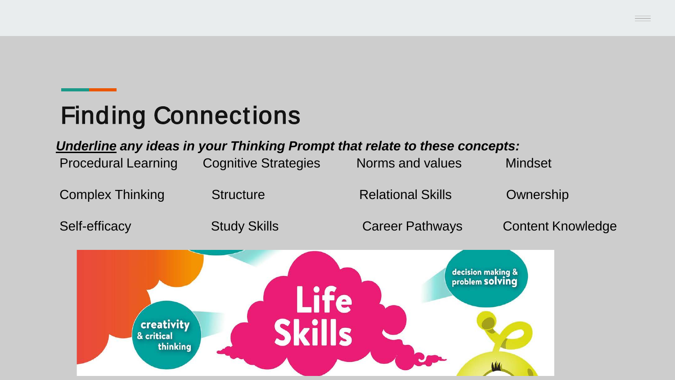#### Finding Connections

#### *Underline any ideas in your Thinking Prompt that relate to these concepts:*

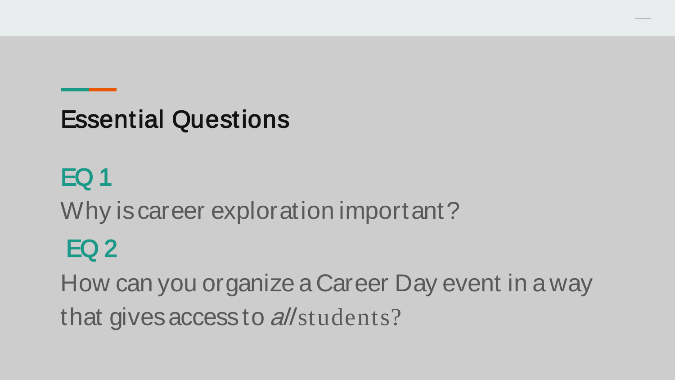#### Essential Questions

#### EQ 1

Why is career exploration important?

#### EQ 2

How can you organize a Career Day event in a way that gives access to all students?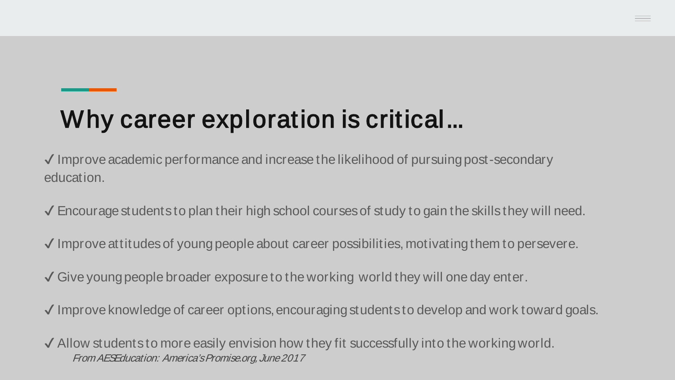#### Why career exploration is critical...

✔ Improve academic performance and increase the likelihood of pursuing post-secondary education.

 $\checkmark$  Encourage students to plan their high school courses of study to gain the skills they will need.

✔ Improve attitudes of young people about career possibilities, motivating them to persevere.

✔ Give young people broader exposure to the working world they will one day enter.

✔ Improve knowledge of career options, encouraging students to develop and work toward goals.

 $\checkmark$  Allow students to more easily envision how they fit successfully into the working world. From AESEducation: America's Promise.org, June 2017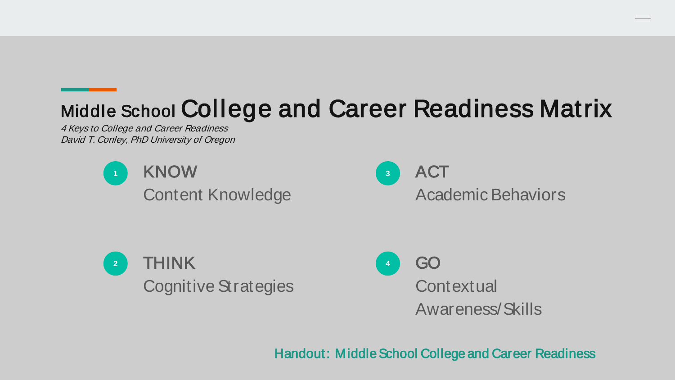

Handout: Middle School College and Career Readiness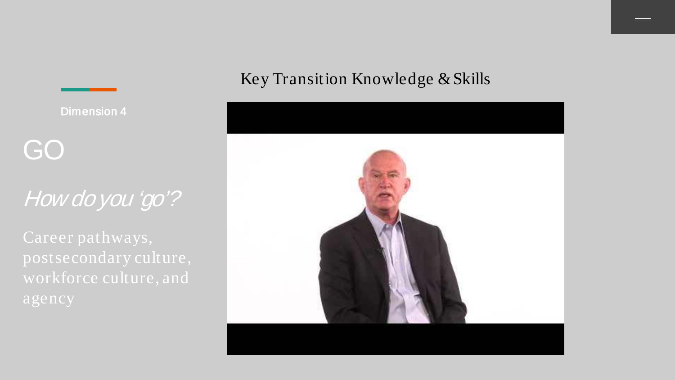# Dimension 4 GO How do you 'go'?

#### Key Transition Knowledge & Skills

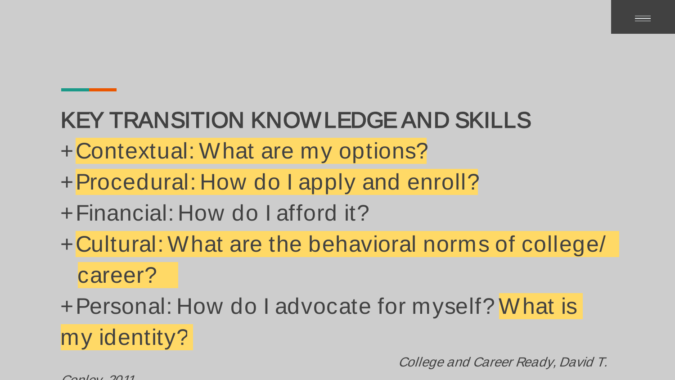#### KEY TRANSITION KNOWLEDGE AND SKILLS

- + Contextual: What are my options?
- + Procedural: How do I apply and enroll?
- + Financial: How do I afford it?
- + Cultural: What are the behavioral norms of college/ career?

+ Personal: How do I advocate for myself? What is my identity?

College and Career Ready, David T.

 $C<sub>cap</sub>$   $C<sub>1</sub>$   $C<sub>1</sub>$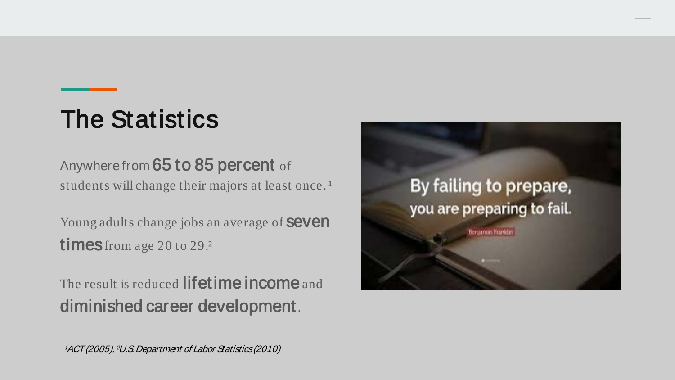## The Statistics

#### Anywhere from 65 to 85 percent of

students will change their majors at least once.<sup>1</sup>

Young adults change jobs an average of **SeVen** times from age 20 to 29.

The result is reduced **lifetime income** and diminished career development.



1ACT (2005), <sup>2</sup>U.S. Department of Labor Statistics (2010)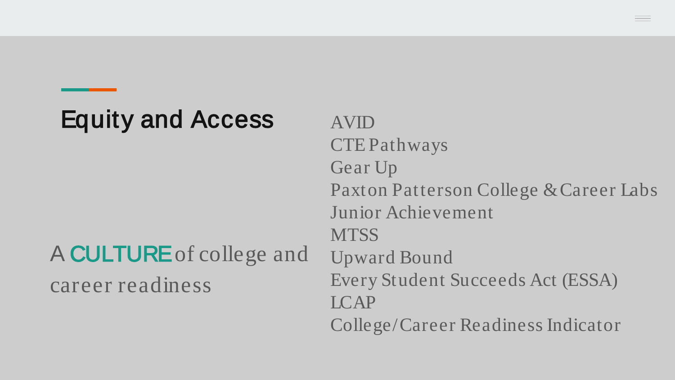#### Equity and Access

#### A CULTUREof college and career readiness

AVID CTE Pathways Gear Up Paxton Patterson College & Career Labs Junior Achievement **MTSS** Upward Bound Every Student Succeeds Act (ESSA) LCAP College/Career Readiness Indicator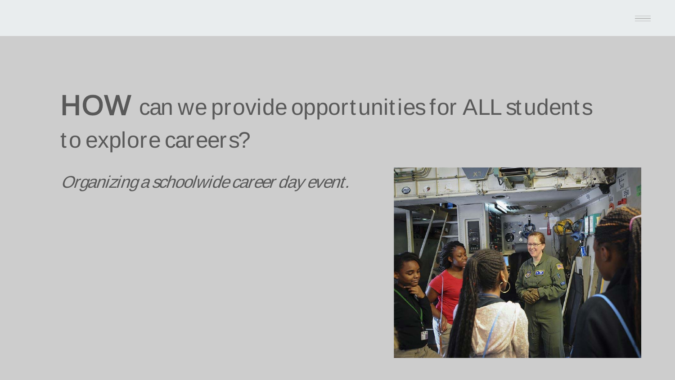## **HOW** can we provide opportunities for ALL students to explore careers?

Organizing a schoolwide career day event.

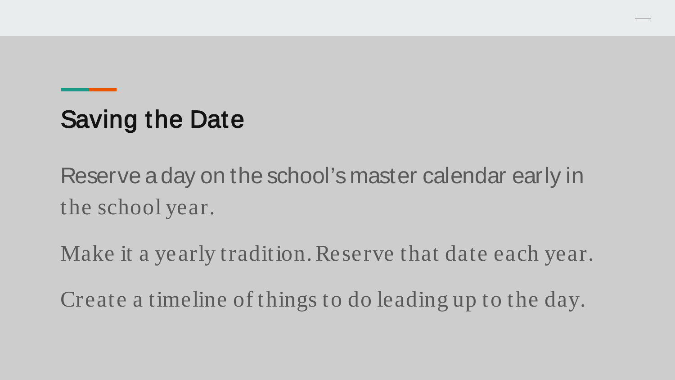#### Saving the Date

Reserve a day on the school's master calendar early in the school year.

Make it a yearly tradition. Reserve that date each year.

Create a timeline of things to do leading up to the day.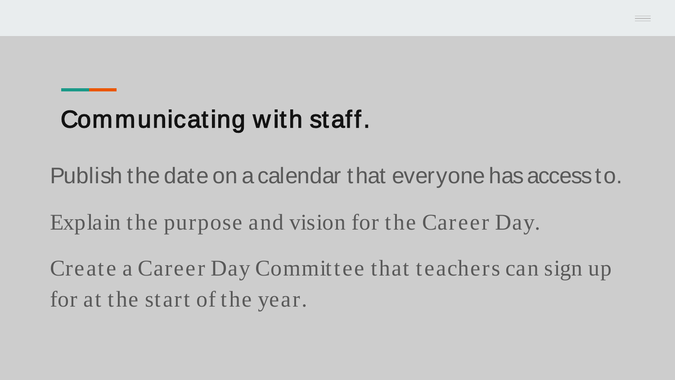#### Communicating with staff.

Publish the date on a calendar that everyone has access to.

Explain the purpose and vision for the Career Day.

Create a Career Day Committee that teachers can sign up for at the start of the year.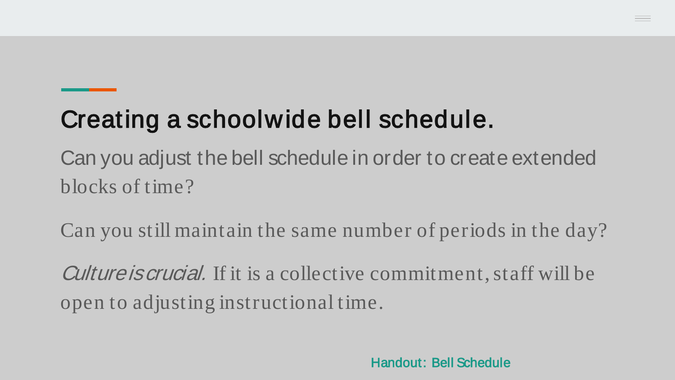#### Creating a schoolwide bell schedule.

Can you adjust the bell schedule in order to create extended blocks of time?

Can you still maintain the same number of periods in the day?

Culture is crucial. If it is a collective commitment, staff will be open to adjusting instructional time.

Handout: Bell Schedule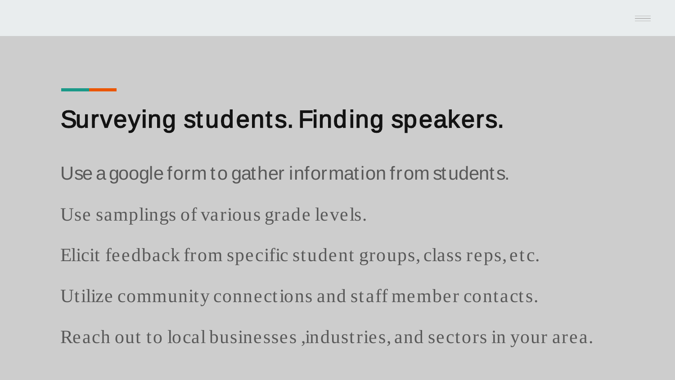## Surveying students. Finding speakers.

Use a google form to gather information from students.

Use samplings of various grade levels.

Elicit feedback from specific student groups, class reps, etc.

Utilize community connections and staff member contacts.

Reach out to local businesses ,industries, and sectors in your area.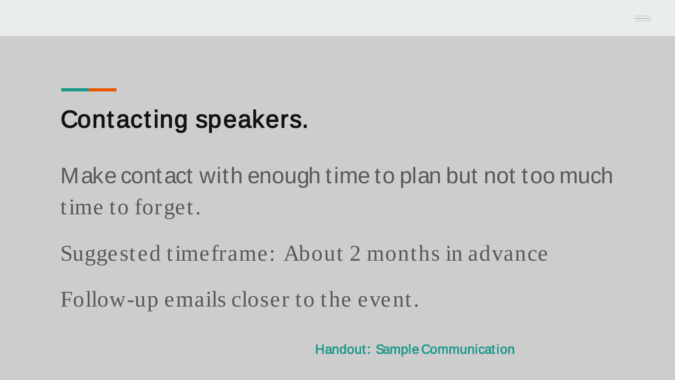#### Contacting speakers.

Make contact with enough time to plan but not too much time to forget.

Suggested timeframe: About 2 months in advance

Follow-up emails closer to the event.

Handout: Sample Communication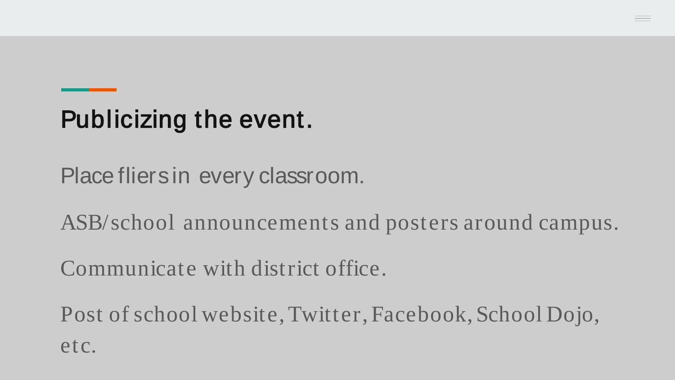#### Publicizing the event.

Place fliers in every classroom.

ASB/school announcements and posters around campus.

Communicate with district office.

Post of school website, Twitter, Facebook, School Dojo, etc.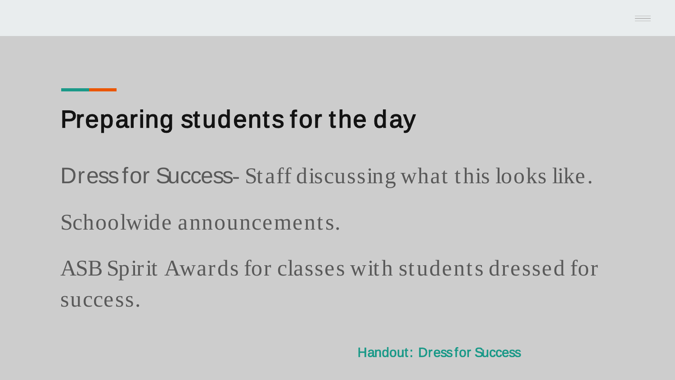#### Preparing students for the day

Dress for Success- Staff discussing what this looks like.

Schoolwide announcements.

ASB Spirit Awards for classes with students dressed for success.

Handout: Dress for Success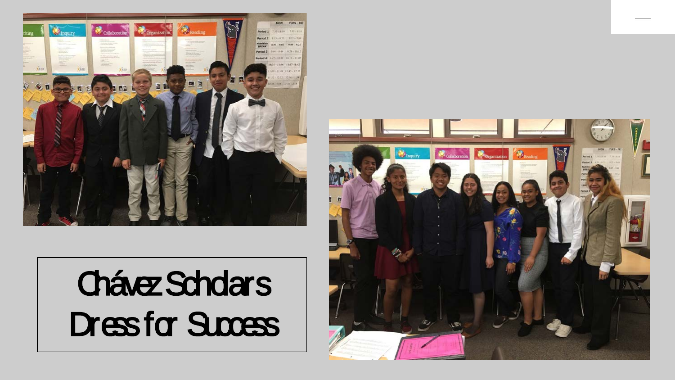

# Chávez Scholars Dress for Success

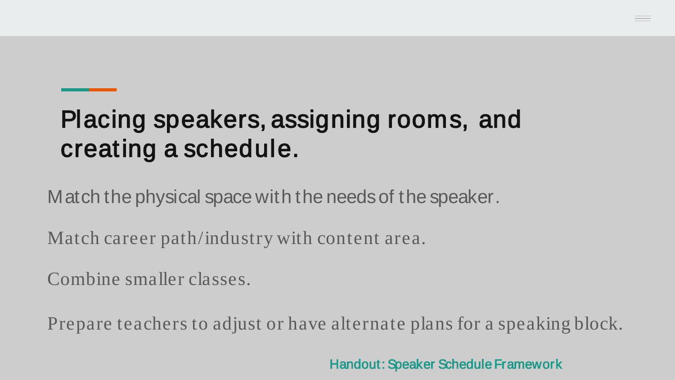#### Placing speakers, assigning rooms, and creating a schedule.

Match the physical space with the needs of the speaker.

Match career path/industry with content area.

Combine smaller classes.

Prepare teachers to adjust or have alternate plans for a speaking block.

Handout: Speaker Schedule Framework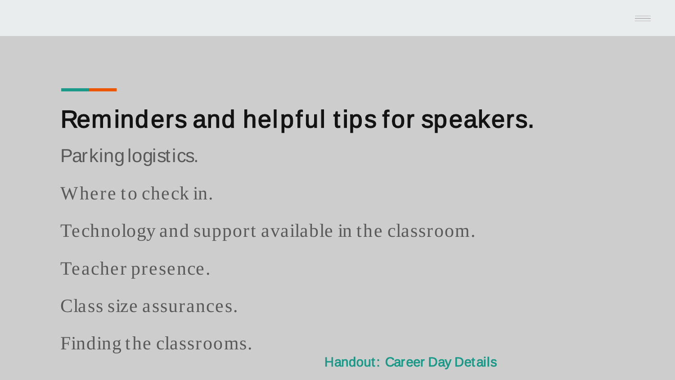## Reminders and helpful tips for speakers.

Parking logistics.

Where to check in.

Technology and support available in the classroom.

Teacher presence.

Class size assurances.

Finding the classrooms.

Handout: Career Day Details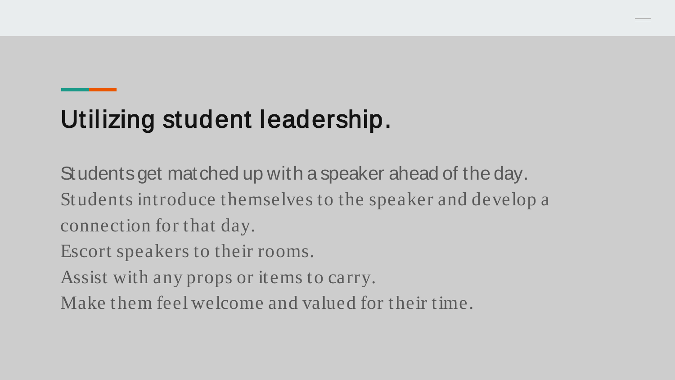#### Utilizing student leadership.

Students get matched up with a speaker ahead of the day. Students introduce themselves to the speaker and develop a connection for that day.

Escort speakers to their rooms.

Assist with any props or items to carry.

Make them feel welcome and valued for their time.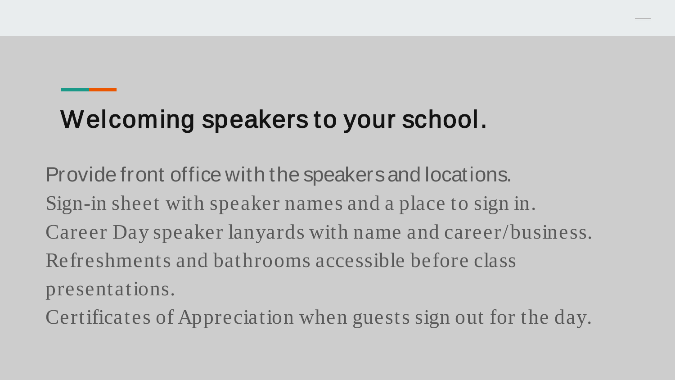#### Welcoming speakers to your school.

Provide front office with the speakers and locations. Sign-in sheet with speaker names and a place to sign in. Career Day speaker lanyards with name and career/business. Refreshments and bathrooms accessible before class presentations.

Certificates of Appreciation when guests sign out for the day.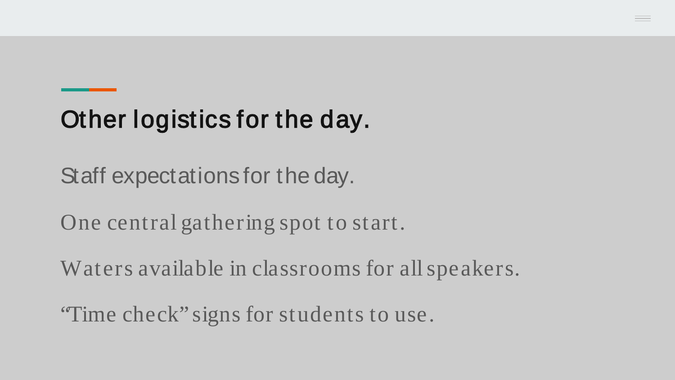## Other logistics for the day.

Staff expectations for the day.

One central gathering spot to start.

Waters available in classrooms for all speakers.

"Time check" signs for students to use.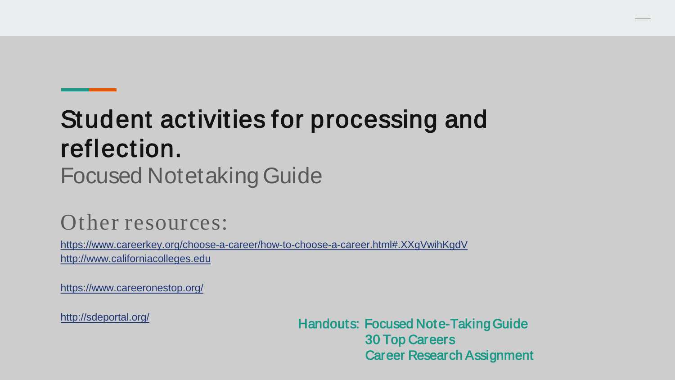#### Focused Notetaking Guide Student activities for processing and reflection.

#### Other resources:

[https://www.careerkey.org/choose-a-career/how-to-choose-a-career.html#.XXgVwihKgdV](https://www.careerkey.org/choose-a-career/how-to-choose-a-career.html%23.XXgVwihKgdV) [http://www.californiacolleges.edu](http://www.californiacolleges.edu/)

<https://www.careeronestop.org/>

<http://sdeportal.org/>

Handouts: Focused Note-Taking Guide 30 Top Careers Career Research Assignment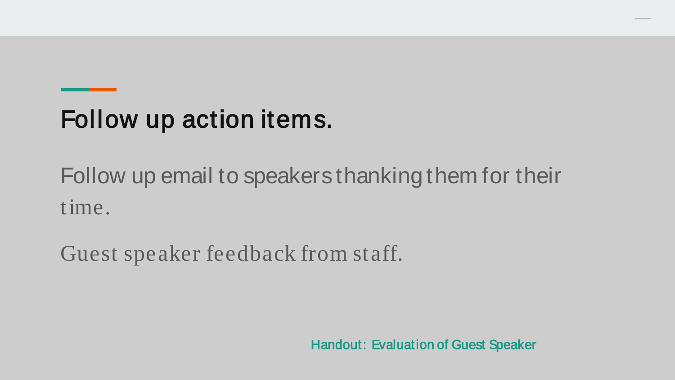#### Follow up action items.

Follow up email to speakers thanking them for their time.

Guest speaker feedback from staff.

Handout: Evaluation of Guest Speaker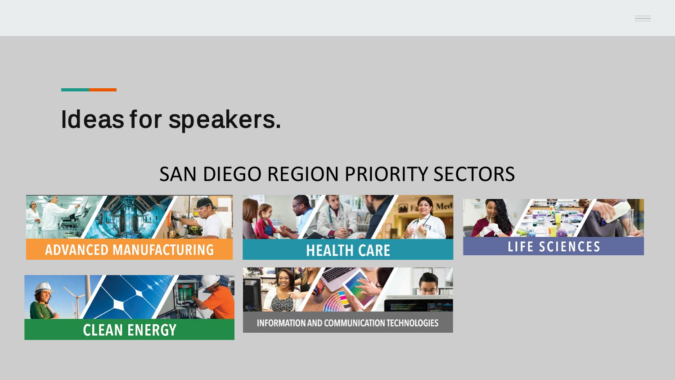#### Ideas for speakers.

#### SAN DIEGO REGION PRIORITY SECTORS

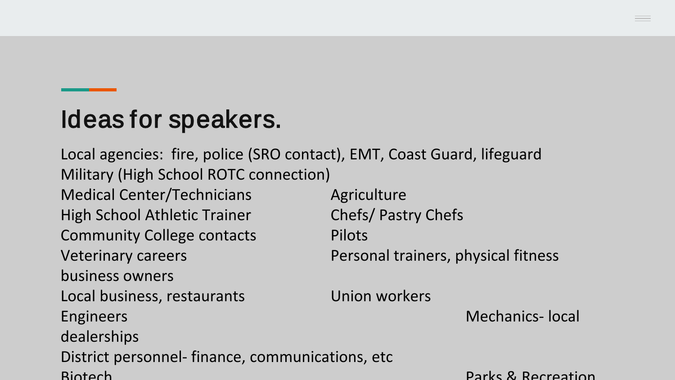#### Ideas for speakers.

Local agencies: fire, police (SRO contact), EMT, Coast Guard, lifeguard Military (High School ROTC connection) Medical Center/Technicians **Agriculture** High School Athletic Trainer Chefs/ Pastry Chefs Community College contacts Pilots Veterinary careers Personal trainers, physical fitness business owners Local business, restaurants Union workers Engineers **Mechanics-** local dealerships District personnel- finance, communications, etc Biotech Parks & Recreation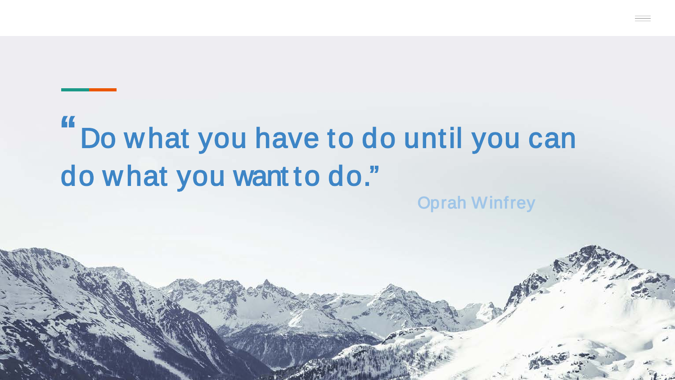## " Do what you have to do until you can do what you want to do." Oprah Winfrey